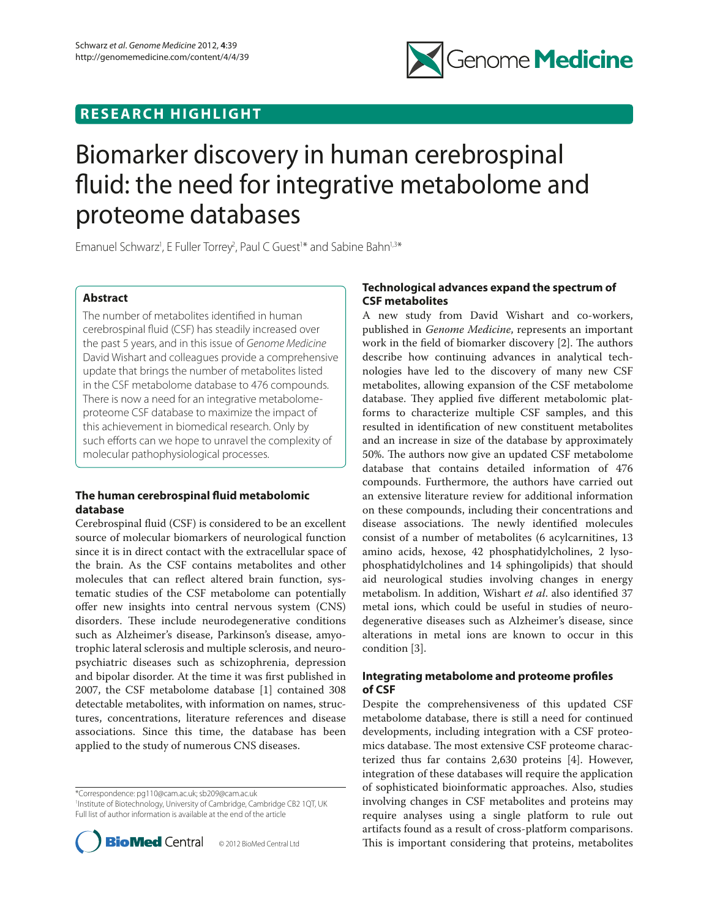## **RESEARCH HIGHLIGHT**



# Biomarker discovery in human cerebrospinal fluid: the need for integrative metabolome and proteome databases

Emanuel Schwarz<sup>1</sup>, E Fuller Torrey<sup>2</sup>, Paul C Guest<sup>1\*</sup> and Sabine Bahn<sup>1,3\*</sup>

## **Abstract**

The number of metabolites identified in human cerebrospinal fluid (CSF) has steadily increased over the past 5 years, and in this issue of *Genome Medicine* David Wishart and colleagues provide a comprehensive update that brings the number of metabolites listed in the CSF metabolome database to 476 compounds. There is now a need for an integrative metabolomeproteome CSF database to maximize the impact of this achievement in biomedical research. Only by such efforts can we hope to unravel the complexity of molecular pathophysiological processes.

## **The human cerebrospinal fluid metabolomic database**

Cerebrospinal fluid (CSF) is considered to be an excellent source of molecular biomarkers of neurological function since it is in direct contact with the extracellular space of the brain. As the CSF contains metabolites and other molecules that can reflect altered brain function, systematic studies of the CSF metabolome can potentially offer new insights into central nervous system (CNS) disorders. These include neurodegenerative conditions such as Alzheimer's disease, Parkinson's disease, amyotrophic lateral sclerosis and multiple sclerosis, and neuropsychiatric diseases such as schizophrenia, depression and bipolar disorder. At the time it was first published in 2007, the CSF metabolome database [1] contained 308 detectable metabolites, with information on names, structures, concentrations, literature references and disease associations. Since this time, the database has been applied to the study of numerous CNS diseases.

\*Correspondence: pg110@cam.ac.uk; sb209@cam.ac.uk 1 Institute of Biotechnology, University of Cambridge, Cambridge CB2 1QT, UK Full list of author information is available at the end of the article



## **Technological advances expand the spectrum of CSF metabolites**

A new study from David Wishart and co-workers, published in *Genome Medicine*, represents an important work in the field of biomarker discovery  $[2]$ . The authors describe how continuing advances in analytical technologies have led to the discovery of many new CSF metabolites, allowing expansion of the CSF metabolome database. They applied five different metabolomic platforms to characterize multiple CSF samples, and this resulted in identification of new constituent metabolites and an increase in size of the database by approximately 50%. The authors now give an updated CSF metabolome database that contains detailed information of 476 compounds. Furthermore, the authors have carried out an extensive literature review for additional information on these compounds, including their concentrations and disease associations. The newly identified molecules consist of a number of metabolites (6 acylcarnitines, 13 amino acids, hexose, 42 phosphatidylcholines, 2 lysophosphatidylcholines and 14 sphingolipids) that should aid neurological studies involving changes in energy metabolism. In addition, Wishart *et al*. also identified 37 metal ions, which could be useful in studies of neurodegenerative diseases such as Alzheimer's disease, since alterations in metal ions are known to occur in this condition [3].

## **Integrating metabolome and proteome profiles of CSF**

Despite the comprehensiveness of this updated CSF metabolome database, there is still a need for continued developments, including integration with a CSF proteomics database. The most extensive CSF proteome characterized thus far contains 2,630 proteins [4]. However, integration of these databases will require the application of sophisticated bioinformatic approaches. Also, studies involving changes in CSF metabolites and proteins may require analyses using a single platform to rule out artifacts found as a result of cross-platform comparisons. This is important considering that proteins, metabolites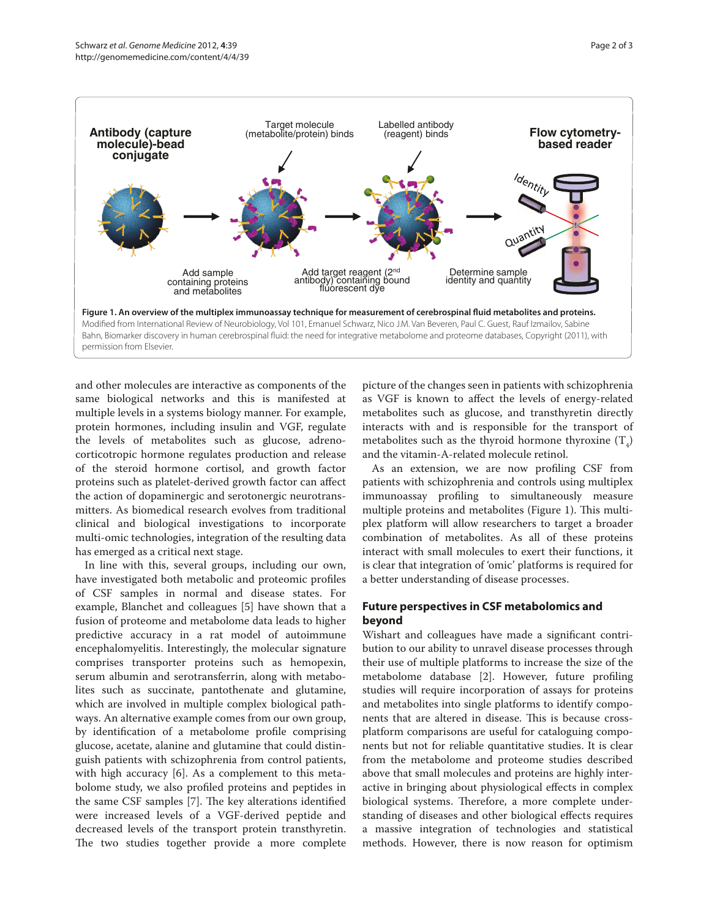

and other molecules are interactive as components of the same biological networks and this is manifested at multiple levels in a systems biology manner. For example, protein hormones, including insulin and VGF, regulate the levels of metabolites such as glucose, adrenocorticotropic hormone regulates production and release of the steroid hormone cortisol, and growth factor proteins such as platelet-derived growth factor can affect the action of dopaminergic and serotonergic neurotransmitters. As biomedical research evolves from traditional clinical and biological investigations to incorporate multi-omic technologies, integration of the resulting data has emerged as a critical next stage.

In line with this, several groups, including our own, have investigated both metabolic and proteomic profiles of CSF samples in normal and disease states. For example, Blanchet and colleagues [5] have shown that a fusion of proteome and metabolome data leads to higher predictive accuracy in a rat model of autoimmune encephalomyelitis. Interestingly, the molecular signature comprises transporter proteins such as hemopexin, serum albumin and serotransferrin, along with metabolites such as succinate, pantothenate and glutamine, which are involved in multiple complex biological pathways. An alternative example comes from our own group, by identification of a metabolome profile comprising glucose, acetate, alanine and glutamine that could distinguish patients with schizophrenia from control patients, with high accuracy [6]. As a complement to this metabolome study, we also profiled proteins and peptides in the same CSF samples [7]. The key alterations identified were increased levels of a VGF-derived peptide and decreased levels of the transport protein transthyretin. The two studies together provide a more complete

picture of the changes seen in patients with schizophrenia as VGF is known to affect the levels of energy-related metabolites such as glucose, and transthyretin directly interacts with and is responsible for the transport of metabolites such as the thyroid hormone thyroxine  $(T_4)$ and the vitamin-A-related molecule retinol.

As an extension, we are now profiling CSF from patients with schizophrenia and controls using multiplex immunoassay profiling to simultaneously measure multiple proteins and metabolites (Figure 1). This multiplex platform will allow researchers to target a broader combination of metabolites. As all of these proteins interact with small molecules to exert their functions, it is clear that integration of 'omic' platforms is required for a better understanding of disease processes.

## **Future perspectives in CSF metabolomics and beyond**

Wishart and colleagues have made a significant contribution to our ability to unravel disease processes through their use of multiple platforms to increase the size of the metabolome database [2]. However, future profiling studies will require incorporation of assays for proteins and metabolites into single platforms to identify components that are altered in disease. This is because crossplatform comparisons are useful for cataloguing components but not for reliable quantitative studies. It is clear from the metabolome and proteome studies described above that small molecules and proteins are highly interactive in bringing about physiological effects in complex biological systems. Therefore, a more complete understanding of diseases and other biological effects requires a massive integration of technologies and statistical methods. However, there is now reason for optimism